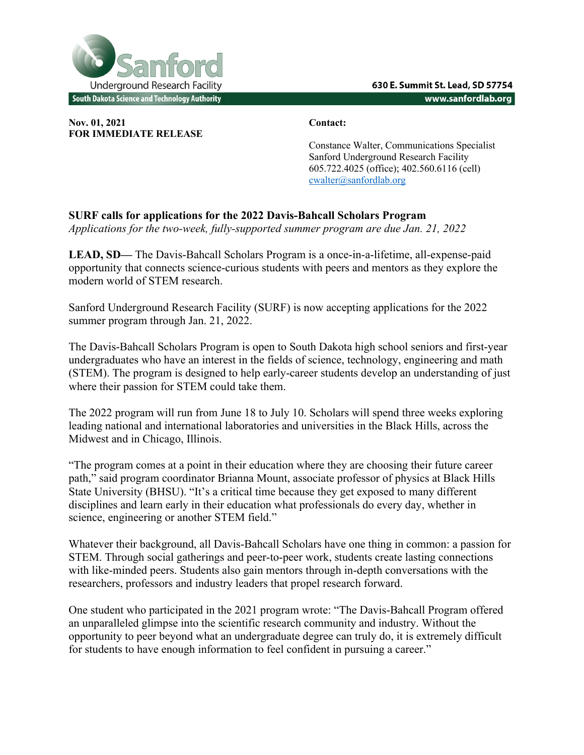

**Nov. 01, 2021 Contact: FOR IMMEDIATE RELEASE**

Constance Walter, Communications Specialist Sanford Underground Research Facility 605.722.4025 (office); 402.560.6116 (cell) cwalter@sanfordlab.org

## **SURF calls for applications for the 2022 Davis-Bahcall Scholars Program**

*Applications for the two-week, fully-supported summer program are due Jan. 21, 2022*

**LEAD, SD—** The Davis-Bahcall Scholars Program is a once-in-a-lifetime, all-expense-paid opportunity that connects science-curious students with peers and mentors as they explore the modern world of STEM research.

Sanford Underground Research Facility (SURF) is now accepting applications for the 2022 summer program through Jan. 21, 2022.

The Davis-Bahcall Scholars Program is open to South Dakota high school seniors and first-year undergraduates who have an interest in the fields of science, technology, engineering and math (STEM). The program is designed to help early-career students develop an understanding of just where their passion for STEM could take them.

The 2022 program will run from June 18 to July 10. Scholars will spend three weeks exploring leading national and international laboratories and universities in the Black Hills, across the Midwest and in Chicago, Illinois.

"The program comes at a point in their education where they are choosing their future career path," said program coordinator Brianna Mount, associate professor of physics at Black Hills State University (BHSU). "It's a critical time because they get exposed to many different disciplines and learn early in their education what professionals do every day, whether in science, engineering or another STEM field."

Whatever their background, all Davis-Bahcall Scholars have one thing in common: a passion for STEM. Through social gatherings and peer-to-peer work, students create lasting connections with like-minded peers. Students also gain mentors through in-depth conversations with the researchers, professors and industry leaders that propel research forward.

One student who participated in the 2021 program wrote: "The Davis-Bahcall Program offered an unparalleled glimpse into the scientific research community and industry. Without the opportunity to peer beyond what an undergraduate degree can truly do, it is extremely difficult for students to have enough information to feel confident in pursuing a career."